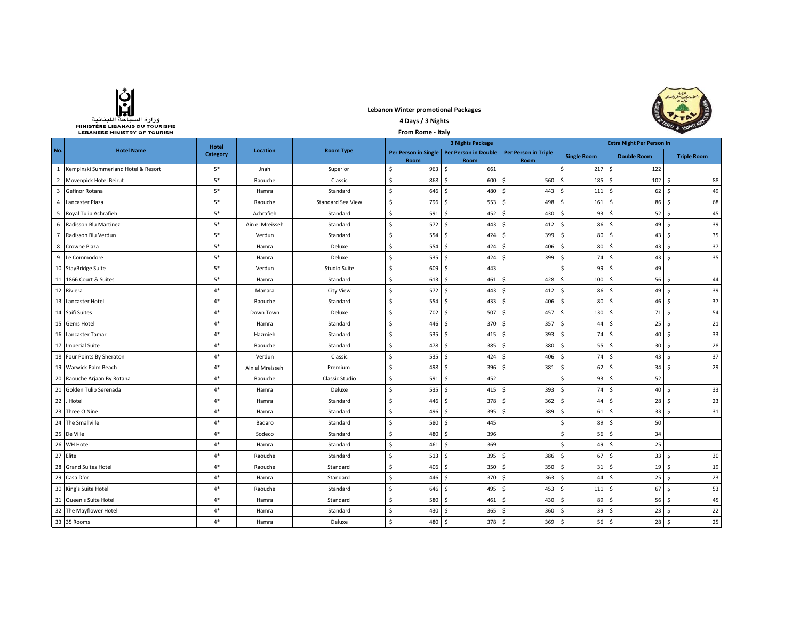

**Lebanon Winter promotional Packages 4 Days / 3 Nights** 



| MINISTERE LIBANAIS DU TOURISME<br>From Rome - Italy<br><b>LEBANESE MINISTRY OF TOURISM</b> |                                     |                 |                 |                          | <b>A TOURIST</b>           |                                                     |                                     |                              |                    |                    |
|--------------------------------------------------------------------------------------------|-------------------------------------|-----------------|-----------------|--------------------------|----------------------------|-----------------------------------------------------|-------------------------------------|------------------------------|--------------------|--------------------|
|                                                                                            | Hotel                               |                 |                 |                          |                            |                                                     | <b>Extra Night Per Person In</b>    |                              |                    |                    |
| No.                                                                                        | <b>Hotel Name</b>                   | <b>Category</b> | <b>Location</b> | <b>Room Type</b>         | Room                       | Per Person in Single   Per Person in Double<br>Room | <b>Per Person in Triple</b><br>Room | <b>Single Room</b>           | <b>Double Room</b> | <b>Triple Room</b> |
| 1                                                                                          | Kempinski Summerland Hotel & Resort | $5*$            | Jnah            | Superior                 | 963<br>\$                  | Ŝ.<br>661                                           |                                     | \$<br>217S                   | 122                |                    |
| $\overline{2}$                                                                             | Movenpick Hotel Beirut              | $5*$            | Raouche         | Classic                  | \$<br>868                  | Ŝ.<br>600                                           | Ś.<br>560                           | \$<br>185                    | S.<br>102          | 88<br>Ŝ.           |
| 3                                                                                          | Gefinor Rotana                      | $5^\ast$        | Hamra           | Standard                 | \$<br>646                  | 480<br>Ŝ                                            | 443<br>\$                           | $\mathsf{S}$<br>111          | S.<br>62           | 49<br>Ŝ            |
| $\overline{4}$                                                                             | Lancaster Plaza                     | $5*$            | Raouche         | <b>Standard Sea View</b> | \$<br>796                  | 553<br>Ŝ.                                           | \$<br>498                           | \$<br>161                    | - Ś<br>86          | 68<br>Ŝ.           |
| 5                                                                                          | Royal Tulip Achrafieh               | $5^\ast$        | Achrafieh       | Standard                 | \$<br>591                  | <sup>\$</sup><br>452                                | Ś.<br>430                           | Ś.<br>93                     | Ŝ<br>52            | 45<br>-Ś           |
| 6                                                                                          | Radisson Blu Martinez               | $5*$            | Ain el Mreisseh | Standard                 | \$<br>572                  | 443<br>Ŝ.                                           | Ś.<br>412                           | Ś.<br>86                     | S.<br>49           | 39<br>-Ś           |
| $\overline{7}$                                                                             | Radisson Blu Verdun                 | $5*$            | Verdun          | Standard                 | Ś.<br>554                  | 424<br>Ŝ.                                           | Ś.<br>399                           | Š.<br>$80 \quad$             | 43                 | 35<br>Ŝ.           |
| 8                                                                                          | Crowne Plaza                        | $5*$            | Hamra           | Deluxe                   | $\mathsf S$<br>554         | Ŝ.<br>424                                           | Ś.<br>406                           | $\mathsf{S}$                 | 80 \$<br>43        | 37<br>-Ś           |
| 9                                                                                          | Le Commodore                        | $5*$            | Hamra           | Deluxe                   | Ś.<br>535                  | Ŝ.<br>424                                           | Ś.<br>399                           | S.                           | 74S<br>43          | 35<br>-Ś           |
|                                                                                            | 10 StayBridge Suite                 | $5*$            | Verdun          | Studio Suite             | \$<br>609                  | 443<br>\$                                           |                                     | \$<br>$99$ \$                | 49                 |                    |
|                                                                                            | 11 1866 Court & Suites              | $5*$            | Hamra           | Standard                 | $\mathsf S$<br>613         | \$<br>461                                           | 428<br>\$                           | \$<br>100S                   | 56                 | 44<br>\$           |
|                                                                                            | 12 Riviera                          | $4*$            | Manara          | <b>City View</b>         | \$<br>572                  | \$<br>443                                           | \$<br>412                           | S.<br>$86 \quad $$           | 49                 | 39<br>\$           |
| 13                                                                                         | Lancaster Hotel                     | $4*$            | Raouche         | Standard                 | \$<br>554                  | \$<br>433                                           | \$<br>406                           | \$<br>$80 \quad$ \$          | 46                 | 37<br>\$           |
| 14                                                                                         | Saifi Suites                        | $4*$            | Down Town       | Deluxe                   | \$<br>702                  | \$<br>507                                           | \$<br>457                           | \$<br>$130 \div$             | 71                 | 54<br>\$           |
| 15                                                                                         | <b>Gems Hotel</b>                   | $4*$            | Hamra           | Standard                 | \$<br>446                  | \$<br>370                                           | \$<br>357                           | $\mathsf S$<br>$44 \quad$ \$ | 25                 | 21<br>Ŝ.           |
|                                                                                            | 16 Lancaster Tamar                  | $4*$            | Hazmieh         | Standard                 | \$<br>535                  | Ŝ.<br>415                                           | $393$ \$<br>Ś.                      | 74S                          | $40 \quad$         | 33                 |
|                                                                                            | 17 Imperial Suite                   | $4*$            | Raouche         | Standard                 | \$<br>478                  | \$<br>385                                           | Ś.<br>380                           | S.<br>$55 \mid \xi$          | $30 \quad$ \$      | 28                 |
|                                                                                            | 18 Four Points By Sheraton          | $4*$            | Verdun          | Classic                  | \$<br>535                  | Ŝ<br>424                                            | Ŝ.<br>406                           | Ŝ.<br>74S                    | 43                 | 37<br>-Ś           |
| 19                                                                                         | Warwick Palm Beach                  | $4*$            | Ain el Mreisseh | Premium                  | \$<br>498                  | 396<br>Ŝ.                                           | \$<br>381                           | Ŝ.<br>62                     | l s<br>34          | 29<br>-Ś           |
| 20                                                                                         | Raouche Arjaan By Rotana            | $4*$            | Raouche         | Classic Studio           | \$<br>591                  | Ŝ.<br>452                                           |                                     | Ś.<br>93                     | Ŝ.<br>52           |                    |
| 21                                                                                         | Golden Tulip Serenada               | $4*$            | Hamra           | Deluxe                   | \$<br>535                  | Ŝ.<br>415                                           | Ś.<br>393                           | Ś.<br>74                     | S.<br>40           | 33<br>-Ś           |
| 22                                                                                         | J Hotel                             | $4*$            | Hamra           | Standard                 | Ś.<br>446                  | Ŝ<br>378                                            | Ś.<br>362                           | Ś.<br>44                     | Ŝ.<br>28           | 23<br>-Ś           |
| 23                                                                                         | Three O Nine                        | $4*$            | Hamra           | Standard                 | \$<br>496                  | 395<br>Ŝ.                                           | Š.<br>389                           | Š.<br>$61$ $\sqrt{5}$        | 33                 | 31<br>Ŝ.           |
|                                                                                            | 24 The Smallville                   | $4*$            | Badaro          | Standard                 | $\ddot{\mathsf{s}}$<br>580 | 445<br>Ŝ                                            |                                     | Ś.<br>$89$ $\sqrt{5}$        | 50                 |                    |
|                                                                                            | 25 De Ville                         | $4*$            | Sodeco          | Standard                 | \$<br>480                  | 396<br>Ŝ                                            |                                     | Ś.<br>$56 \quad S$           | 34                 |                    |
| 26                                                                                         | WH Hotel                            | $4*$            | Hamra           | Standard                 | \$<br>461                  | 369<br>\$                                           |                                     | \$<br>$49 \mid 5$            | 25                 |                    |
|                                                                                            | 27 Elite                            | $4*$            | Raouche         | Standard                 | \$<br>513                  | 395<br>\$                                           | \$<br>386                           | \$<br>$67$ \$                | 33                 | 30<br>\$           |
| 28                                                                                         | <b>Grand Suites Hotel</b>           | $4*$            | Raouche         | Standard                 | \$<br>406                  | \$<br>350                                           | \$<br>350                           | \$<br>31                     | S.<br>19           | 19<br>\$           |
| 29                                                                                         | Casa D'or                           | $4*$            | Hamra           | Standard                 | \$<br>446                  | \$<br>370                                           | \$<br>363                           | Ŝ.<br>44                     | ۰\$<br>25          | 23<br>S.           |
| 30                                                                                         | King's Suite Hotel                  | $4*$            | Raouche         | Standard                 | \$<br>646                  | \$<br>495                                           | \$<br>453                           | \$<br>$111 \quad$            | 67                 | Ŝ.<br>53           |
| 31                                                                                         | Queen's Suite Hotel                 | $4*$            | Hamra           | Standard                 | \$<br>580                  | 461<br>\$                                           | \$<br>430                           | S.<br>$89 \mid 5$            | 56                 | 45<br>Ŝ.           |
|                                                                                            | 32 The Mayflower Hotel              | $4*$            | Hamra           | Standard                 | \$<br>430                  | 365<br>Ŝ                                            | 360<br>\$                           | \$<br>$39 \mid 5$            | 23                 | 22<br>-Ś           |
|                                                                                            | 33 35 Rooms                         | $4*$            | Hamra           | Deluxe                   | Ś.<br>480 \$               | 378 \$                                              | $369$ \$                            | $56$ $\sqrt{5}$              | 28 <sub>5</sub>    | 25                 |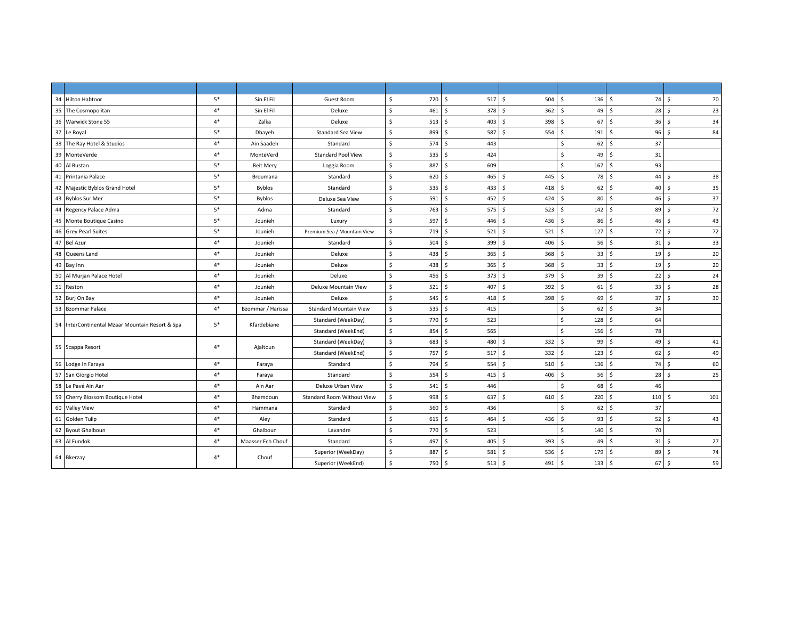| 34 Hilton Habtoor                               | $5*$ | Sin El Fil        | Guest Room                        | \$<br>720 | \$<br>517S           | 504                 | \$<br>$136 \quad $$  | 74         | 70<br>- Ś            |
|-------------------------------------------------|------|-------------------|-----------------------------------|-----------|----------------------|---------------------|----------------------|------------|----------------------|
| 35 The Cosmopolitan                             | $4*$ | Sin El Fil        | Deluxe                            | \$<br>461 | \$<br>378 \$         | 362                 | 49<br>\$             | 28<br>l \$ | -\$<br>23            |
| 36 Warwick Stone 55                             | $4*$ | Zalka             | Deluxe                            | \$<br>513 | \$<br>403 \$         | 398                 | Ŝ.<br>67             | l \$<br>36 | 34<br>-\$            |
| 37 Le Royal                                     | $5*$ | Dbayeh            | <b>Standard Sea View</b>          | \$<br>899 | Ś<br>587             | S.<br>554           | Ŝ.<br>191            | l \$<br>96 | $\mathsf{s}$<br>84   |
| 38 The Ray Hotel & Studios                      | $4*$ | Ain Saadeh        | Standard                          | 574<br>\$ | Ś<br>443             |                     | 62<br>Ŝ.             | 37<br>۱Ś.  |                      |
| 39<br>MonteVerde                                | $4*$ | MonteVerd         | <b>Standard Pool View</b>         | Ś<br>535  | Š.<br>424            |                     | <sub>S</sub><br>49   | l \$<br>31 |                      |
| 40<br>Al Bustan                                 | $5*$ | <b>Beit Mery</b>  | Loggia Room                       | Ś.<br>887 | 609<br>Ś             |                     | \$<br>167            | 93<br>S.   |                      |
| 41 Printania Palace                             | $5*$ | Broumana          | Standard                          | \$<br>620 | $465 - 5$<br>Ś       | 445                 | Ŝ.<br>78             | 44<br>۱Ś.  | 38<br><sup>5</sup>   |
| 42 Majestic Byblos Grand Hotel                  | $5*$ | <b>Byblos</b>     | Standard                          | Ś.<br>535 | Ś<br>4335            | 418                 | 62<br>-Ś             | 40<br>l S  | 35<br>-Ś             |
| 43 Byblos Sur Mer                               | $5*$ | Byblos            | Deluxe Sea View                   | Ś.<br>591 | S.<br>$452 \quad$ \$ | 424                 | Ŝ.<br>80 \$          | 46         | 37<br>- Ś            |
| 44 Regency Palace Adma                          | $5*$ | Adma              | Standard                          | \$<br>763 | \$<br>575S           | 523                 | $142 \quad$ \$<br>\$ | 89         | 72<br>-\$            |
| 45 Monte Boutique Casino                        | $5*$ | Jounieh           | Luxury                            | \$<br>597 | \$<br>$446 \pm 5$    | 436                 | Ŝ.<br>86             | l s<br>46  | 43<br>Ŝ.             |
| 46 Grey Pearl Suites                            | $5*$ | Jounieh           | Premium Sea / Mountain View       | Ś.<br>719 | Ś<br>$521 \quad $$   | 521                 | 127<br>\$            | 72<br>l s  | 72<br>-\$            |
| 47 Bel Azur                                     | $4*$ | Jounieh           | Standard                          | \$<br>504 | Š.<br>399 \$         | 406                 | 56<br>Ŝ.             | l \$<br>31 | 33<br>S.             |
| 48 Queens Land                                  | $4*$ | Jounieh           | Deluxe                            | \$<br>438 | Ś<br>365             | S.<br>368           | Ŝ.<br>33             | 19<br>l s  | 20<br>-Ś             |
| 49 Bay Inn                                      | $4*$ | Jounieh           | Deluxe                            | \$<br>438 | $365$ \$<br>Š.       | 368                 | $\mathsf{S}$<br>33   | l s<br>19  | 20<br>Ŝ.             |
| 50 Al Murjan Palace Hotel                       | $4*$ | Jounieh           | Deluxe                            | Ś<br>456  | 373S<br>Ś            | 379                 | Ŝ.<br>39             | 22<br>l \$ | 24<br>-\$            |
| 51 Reston                                       | $4*$ | Jounieh           | Deluxe Mountain View              | \$<br>521 | Ś.<br>407 \$         | 392                 | Ŝ.<br>61             | l \$<br>33 | 28<br>S.             |
| 52 Burj On Bay                                  | $4*$ | Jounieh           | Deluxe                            | \$<br>545 | Ś<br>418             | 398<br>$\mathsf{S}$ | 69<br>Ŝ.             | l s<br>37  | 30<br>Ŝ.             |
| 53 Bzommar Palace                               | $4*$ | Bzommar / Harissa | <b>Standard Mountain View</b>     | Ś<br>535  | Ś.<br>415            |                     | Ŝ.<br>62             | 34<br>۱Ś.  |                      |
| 54 InterContinental Mzaar Mountain Resort & Spa | $5*$ | Kfardebiane       | Standard (WeekDay)                | \$<br>770 | Ś<br>523             |                     | 128<br>\$            | 64<br>l S  |                      |
|                                                 |      |                   | Standard (WeekEnd)                | \$<br>854 | Ś.<br>565            |                     | \$<br>156            | l \$<br>78 |                      |
| 55 Scappa Resort                                | $4*$ | Ajaltoun          | Standard (WeekDay)                | \$<br>683 | Ś.<br>480            | Ŝ.<br>332           | 99<br>\$             | 49<br>۱Ś.  | 41<br>-S             |
|                                                 |      |                   | Standard (WeekEnd)                | \$<br>757 | \$<br>517S           | 332                 | \$<br>123            | l \$<br>62 | 49<br>- Ś            |
| 56 Lodge In Faraya                              | $4*$ | Faraya            | Standard                          | \$<br>794 | Ś.<br>554S           | 510                 | $136 \quad $$<br>\$  | 74         | 60<br>-\$            |
| 57 San Giorgio Hotel                            | $4*$ | Faraya            | Standard                          | \$<br>554 | Ś.<br>$415 - 5$      | 406                 | $56$ \$<br>\$        | 28         | 25<br>Ŝ              |
| 58 Le Pavé Ain Aar                              | $4*$ | Ain Aar           | Deluxe Urban View                 | \$<br>541 | Ś<br>446             |                     | <sub>S</sub><br>68   | 46<br>l s  |                      |
| 59 Cherry Blossom Boutique Hotel                | $4*$ | Bhamdoun          | <b>Standard Room Without View</b> | Ś<br>998  | 637<br>Ś.            | S.<br>610           | 220<br>Ŝ.            | l s<br>110 | 101<br><sup>\$</sup> |
| 60 Valley View                                  | $4*$ | Hammana           | Standard                          | \$<br>560 | Ś<br>436             |                     | 62<br>Ŝ.             | 37<br>۱Ś.  |                      |
| 61 Golden Tulip                                 | $4*$ | Aley              | Standard                          | Ś.<br>615 | Ś.<br>464            | Ŝ.<br>436           | 93<br>Ŝ.             | l \$<br>52 | 43<br>-Ś             |
| 62 Byout Ghalboun                               | $4*$ | Ghalboun          | Lavandre                          | \$<br>770 | Ś<br>523             |                     | Ŝ.<br>140            | 70<br>l \$ |                      |
| 63 Al Fundok                                    | $4*$ | Maasser Ech Chouf | Standard                          | \$<br>497 | Ś<br>$405 - 5$       | 393                 | Ŝ.<br>49             | l \$<br>31 | 27<br>- Ś            |
| 64 Bkerzay                                      |      |                   | Superior (WeekDay)                | \$<br>887 | Ś.<br>581 \$         | 536                 | Ŝ.<br>179            | 89<br>l \$ | 74<br>-\$            |
|                                                 | $4*$ | Chouf             | Superior (WeekEnd)                | \$<br>750 | \$<br>$513 \quad $$  | 491                 | $133 \quad $5$<br>\$ | 67         | 59<br>l\$            |